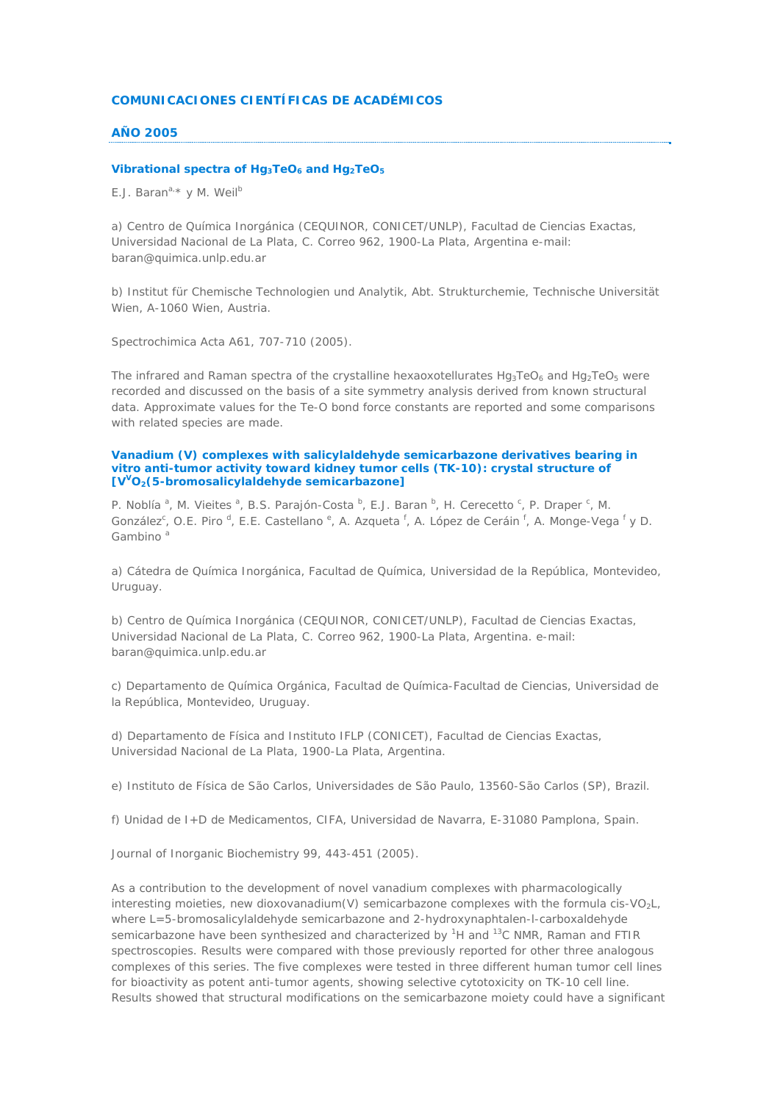# **COMUNICACIONES CIENTÍFICAS DE ACADÉMICOS**

# **AÑO 2005**

#### Vibrational spectra of Hg<sub>3</sub>TeO<sub>6</sub> and Hg<sub>2</sub>TeO<sub>5</sub>

*E.J. Barana,\* y M. Weilb*

a) Centro de Química Inorgánica (CEQUINOR, CONICET/UNLP), Facultad de Ciencias Exactas, Universidad Nacional de La Plata, C. Correo 962, 1900-La Plata, Argentina e-mail: baran@quimica.unlp.edu.ar

b) Institut für Chemische Technologien und Analytik, Abt. Strukturchemie, Technische Universität Wien, A-1060 Wien, Austria.

Spectrochimica Acta A61, 707-710 (2005).

The infrared and Raman spectra of the crystalline hexaoxotellurates  $Hg_3TeO_6$  and  $Hg_2TeO_5$  were recorded and discussed on the basis of a site symmetry analysis derived from known structural data. Approximate values for the Te-O bond force constants are reported and some comparisons with related species are made.

### **Vanadium (V) complexes with salicylaldehyde semicarbazone derivatives bearing in vitro anti-tumor activity toward kidney tumor cells (TK-10): crystal structure of [VVO2(5-bromosalicylaldehyde semicarbazone]**

*P. Noblía<sup>a</sup>, M. Vieites<sup>a</sup>, B.S. Parajón-Costa<sup>b</sup>, E.J. Baran<sup>b</sup>, H. Cerecetto<sup>c</sup>, P. Draper<sup>c</sup>, M. González<sup>c</sup>*, *O.E. Piro <sup>d</sup>, E.E. Castellano <sup>e</sup>, A. Azqueta <sup>f</sup>, A. López de Ceráin <sup>f</sup>, A. Monge-Vega <sup>f</sup> y D. Gambino <sup>a</sup>*

a) Cátedra de Química Inorgánica, Facultad de Química, Universidad de la República, Montevideo, Uruguay.

b) Centro de Química Inorgánica (CEQUINOR, CONICET/UNLP), Facultad de Ciencias Exactas, Universidad Nacional de La Plata, C. Correo 962, 1900-La Plata, Argentina. e-mail: baran@quimica.unlp.edu.ar

c) Departamento de Química Orgánica, Facultad de Química-Facultad de Ciencias, Universidad de la República, Montevideo, Uruguay.

d) Departamento de Física and Instituto IFLP (CONICET), Facultad de Ciencias Exactas, Universidad Nacional de La Plata, 1900-La Plata, Argentina.

e) Instituto de Física de São Carlos, Universidades de São Paulo, 13560-São Carlos (SP), Brazil.

f) Unidad de I+D de Medicamentos, CIFA, Universidad de Navarra, E-31080 Pamplona, Spain.

Journal of Inorganic Biochemistry 99, 443-451 (2005).

As a contribution to the development of novel vanadium complexes with pharmacologically interesting moieties, new dioxovanadium(V) semicarbazone complexes with the formula *cis*-VO2L, where L=5-bromosalicylaldehyde semicarbazone and 2-hydroxynaphtalen-l-carboxaldehyde semicarbazone have been synthesized and characterized by <sup>1</sup>H and <sup>13</sup>C NMR, Raman and FTIR spectroscopies. Results were compared with those previously reported for other three analogous complexes of this series. The five complexes were tested in three different human tumor cell lines for bioactivity as potent anti-tumor agents, showing selective cytotoxicity on TK-10 cell line. Results showed that structural modifications on the semicarbazone moiety could have a significant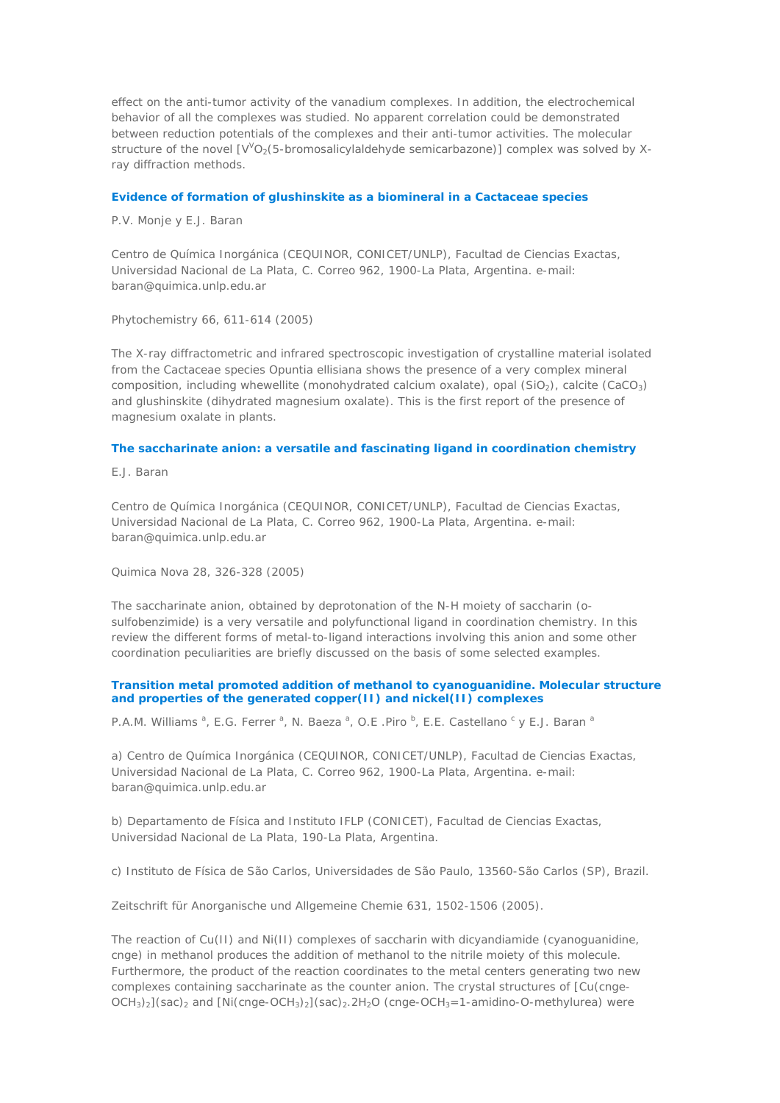effect on the anti-tumor activity of the vanadium complexes. In addition, the electrochemical behavior of all the complexes was studied. No apparent correlation could be demonstrated between reduction potentials of the complexes and their anti-tumor activities. The molecular structure of the novel  $[V'O_2(5\textrm{-}bromosalicylaldehyde semicarbazone)]$  complex was solved by Xray diffraction methods.

### **Evidence of formation of glushinskite as a biomineral in a Cactaceae species**

*P.V. Monje y E.J. Baran*

Centro de Química Inorgánica (CEQUINOR, CONICET/UNLP), Facultad de Ciencias Exactas, Universidad Nacional de La Plata, C. Correo 962, 1900-La Plata, Argentina. e-mail: baran@quimica.unlp.edu.ar

Phytochemistry 66, 611-614 (2005)

The X-ray diffractometric and infrared spectroscopic investigation of crystalline material isolated from the Cactaceae species *Opuntia ellisiana* shows the presence of a very complex mineral composition, including whewellite (monohydrated calcium oxalate), opal  $(SiO<sub>2</sub>)$ , calcite (CaCO<sub>3</sub>) and glushinskite (dihydrated magnesium oxalate). This is the first report of the presence of magnesium oxalate in plants.

### **The saccharinate anion: a versatile and fascinating ligand in coordination chemistry**

*E.J. Baran*

Centro de Química Inorgánica (CEQUINOR, CONICET/UNLP), Facultad de Ciencias Exactas, Universidad Nacional de La Plata, C. Correo 962, 1900-La Plata, Argentina. e-mail: baran@quimica.unlp.edu.ar

Quimica Nova 28, 326-328 (2005)

The saccharinate anion, obtained by deprotonation of the N-H moiety of saccharin (osulfobenzimide) is a very versatile and polyfunctional ligand in coordination chemistry. In this review the different forms of metal-to-ligand interactions involving this anion and some other coordination peculiarities are briefly discussed on the basis of some selected examples.

### **Transition metal promoted addition of methanol to cyanoguanidine. Molecular structure and properties of the generated copper(II) and nickel(II) complexes**

*P.A.M. Williams<sup>, a</sup>, E.G. Ferrer <sup>a</sup>, N. Baeza <sup>a</sup>, O.E .Piro <sup>b</sup>, E.E. Castellano <sup>c</sup> y E.J. Baran <sup>a</sup>* 

a) Centro de Química Inorgánica (CEQUINOR, CONICET/UNLP), Facultad de Ciencias Exactas, Universidad Nacional de La Plata, C. Correo 962, 1900-La Plata, Argentina. e-mail: baran@quimica.unlp.edu.ar

b) Departamento de Física and Instituto IFLP (CONICET), Facultad de Ciencias Exactas, Universidad Nacional de La Plata, 190-La Plata, Argentina.

c) Instituto de Física de São Carlos, Universidades de São Paulo, 13560-São Carlos (SP), Brazil.

Zeitschrift für Anorganische und Allgemeine Chemie 631, 1502-1506 (2005).

The reaction of Cu(II) and Ni(II) complexes of saccharin with dicyandiamide (cyanoguanidine, cnge) in methanol produces the addition of methanol to the nitrile moiety of this molecule. Furthermore, the product of the reaction coordinates to the metal centers generating two new complexes containing saccharinate as the counter anion. The crystal structures of [Cu(cnge- $OCH<sub>3</sub>2$ [(sac)<sub>2</sub> and [Ni(cnge-OCH<sub>3</sub>)<sub>2</sub>](sac)<sub>2</sub>.2H<sub>2</sub>O (cnge-OCH<sub>3</sub>=1-amidino-O-methylurea) were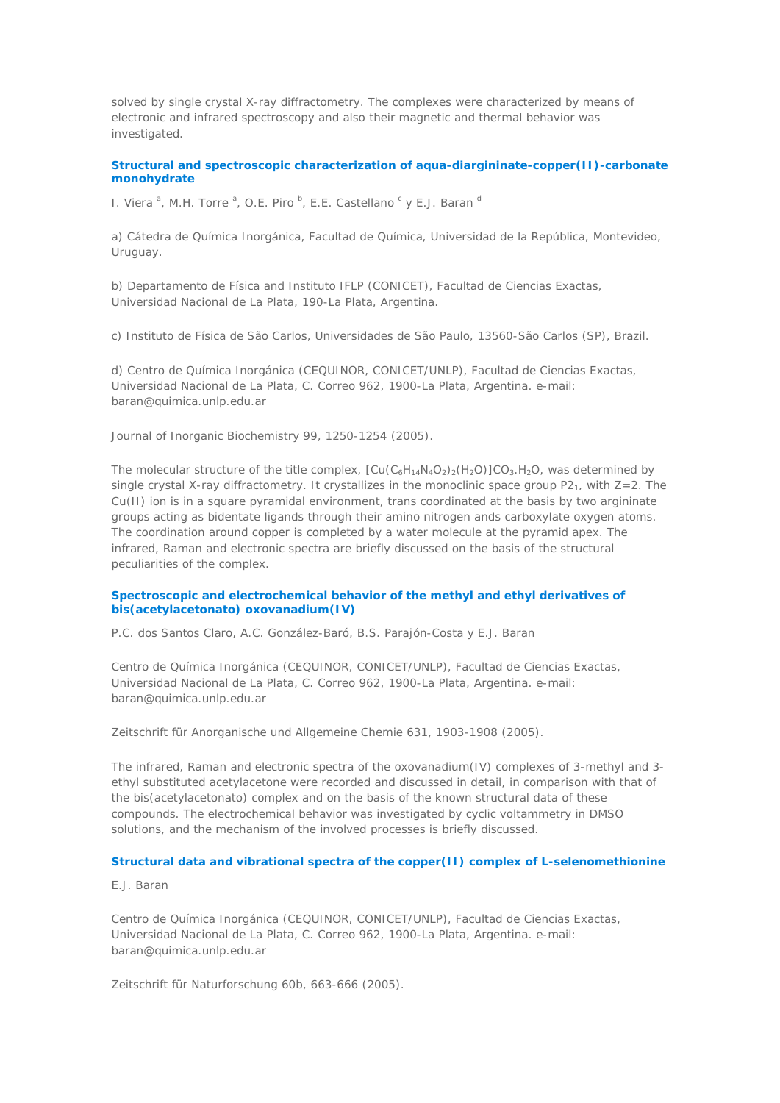solved by single crystal X-ray diffractometry. The complexes were characterized by means of electronic and infrared spectroscopy and also their magnetic and thermal behavior was investigated.

**Structural and spectroscopic characterization of aqua-diargininate-copper(II)-carbonate monohydrate** 

*I. Viera<sup>a</sup>*, *M.H. Torre<sup>a</sup>*, *O.E. Piro*<sup>b</sup>, *E.E. Castellano*<sup>c</sup> y *E.J. Baran*<sup>c</sup>

a) Cátedra de Química Inorgánica, Facultad de Química, Universidad de la República, Montevideo, Uruguay.

b) Departamento de Física and Instituto IFLP (CONICET), Facultad de Ciencias Exactas, Universidad Nacional de La Plata, 190-La Plata, Argentina.

c) Instituto de Física de São Carlos, Universidades de São Paulo, 13560-São Carlos (SP), Brazil.

d) Centro de Química Inorgánica (CEQUINOR, CONICET/UNLP), Facultad de Ciencias Exactas, Universidad Nacional de La Plata, C. Correo 962, 1900-La Plata, Argentina. e-mail: baran@quimica.unlp.edu.ar

Journal of Inorganic Biochemistry 99, 1250-1254 (2005).

The molecular structure of the title complex,  $[Cu(C_6H_{14}N_4O_2)_{2}(H_2O)]CO_3.H_2O$ , was determined by single crystal X-ray diffractometry. It crystallizes in the monoclinic space group  $P2<sub>1</sub>$ , with  $Z=2$ . The Cu(II) ion is in a square pyramidal environment, trans coordinated at the basis by two argininate groups acting as bidentate ligands through their amino nitrogen ands carboxylate oxygen atoms. The coordination around copper is completed by a water molecule at the pyramid apex. The infrared, Raman and electronic spectra are briefly discussed on the basis of the structural peculiarities of the complex.

# **Spectroscopic and electrochemical behavior of the methyl and ethyl derivatives of bis(acetylacetonato) oxovanadium(IV)**

*P.C. dos Santos Claro, A.C. González-Baró, B.S. Parajón-Costa y E.J. Baran*

Centro de Química Inorgánica (CEQUINOR, CONICET/UNLP), Facultad de Ciencias Exactas, Universidad Nacional de La Plata, C. Correo 962, 1900-La Plata, Argentina. e-mail: baran@quimica.unlp.edu.ar

Zeitschrift für Anorganische und Allgemeine Chemie 631, 1903-1908 (2005).

The infrared, Raman and electronic spectra of the oxovanadium(IV) complexes of 3-methyl and 3 ethyl substituted acetylacetone were recorded and discussed in detail, in comparison with that of the bis(acetylacetonato) complex and on the basis of the known structural data of these compounds. The electrochemical behavior was investigated by cyclic voltammetry in DMSO solutions, and the mechanism of the involved processes is briefly discussed.

### **Structural data and vibrational spectra of the copper(II) complex of L-selenomethionine**

# *E.J. Baran*

Centro de Química Inorgánica (CEQUINOR, CONICET/UNLP), Facultad de Ciencias Exactas, Universidad Nacional de La Plata, C. Correo 962, 1900-La Plata, Argentina. e-mail: baran@quimica.unlp.edu.ar

Zeitschrift für Naturforschung 60b, 663-666 (2005).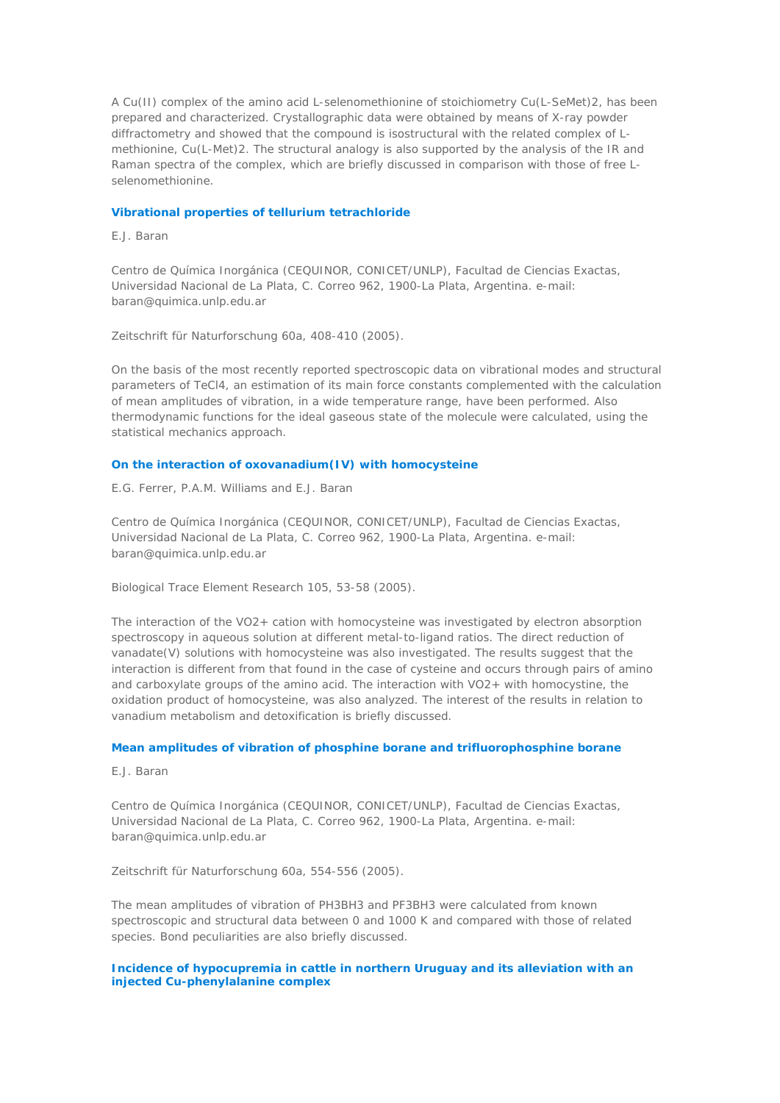A Cu(II) complex of the amino acid L-selenomethionine of stoichiometry Cu(L-SeMet)2, has been prepared and characterized. Crystallographic data were obtained by means of X-ray powder diffractometry and showed that the compound is isostructural with the related complex of Lmethionine, Cu(L-Met)2. The structural analogy is also supported by the analysis of the IR and Raman spectra of the complex, which are briefly discussed in comparison with those of free Lselenomethionine.

### **Vibrational properties of tellurium tetrachloride**

*E.J. Baran*

Centro de Química Inorgánica (CEQUINOR, CONICET/UNLP), Facultad de Ciencias Exactas, Universidad Nacional de La Plata, C. Correo 962, 1900-La Plata, Argentina. e-mail: baran@quimica.unlp.edu.ar

Zeitschrift für Naturforschung 60a, 408-410 (2005).

On the basis of the most recently reported spectroscopic data on vibrational modes and structural parameters of TeCl4, an estimation of its main force constants complemented with the calculation of mean amplitudes of vibration, in a wide temperature range, have been performed. Also thermodynamic functions for the ideal gaseous state of the molecule were calculated, using the statistical mechanics approach.

# **On the interaction of oxovanadium(IV) with homocysteine**

*E.G. Ferrer, P.A.M. Williams and E.J. Baran*

Centro de Química Inorgánica (CEQUINOR, CONICET/UNLP), Facultad de Ciencias Exactas, Universidad Nacional de La Plata, C. Correo 962, 1900-La Plata, Argentina. e-mail: baran@quimica.unlp.edu.ar

Biological Trace Element Research 105, 53-58 (2005).

The interaction of the VO2+ cation with homocysteine was investigated by electron absorption spectroscopy in aqueous solution at different metal-to-ligand ratios. The direct reduction of vanadate(V) solutions with homocysteine was also investigated. The results suggest that the interaction is different from that found in the case of cysteine and occurs through pairs of amino and carboxylate groups of the amino acid. The interaction with VO2+ with homocystine, the oxidation product of homocysteine, was also analyzed. The interest of the results in relation to vanadium metabolism and detoxification is briefly discussed.

#### **Mean amplitudes of vibration of phosphine borane and trifluorophosphine borane**

*E.J. Baran*

Centro de Química Inorgánica (CEQUINOR, CONICET/UNLP), Facultad de Ciencias Exactas, Universidad Nacional de La Plata, C. Correo 962, 1900-La Plata, Argentina. e-mail: baran@quimica.unlp.edu.ar

Zeitschrift für Naturforschung 60a, 554-556 (2005).

The mean amplitudes of vibration of PH3BH3 and PF3BH3 were calculated from known spectroscopic and structural data between 0 and 1000 K and compared with those of related species. Bond peculiarities are also briefly discussed.

# **Incidence of hypocupremia in cattle in northern Uruguay and its alleviation with an injected Cu-phenylalanine complex**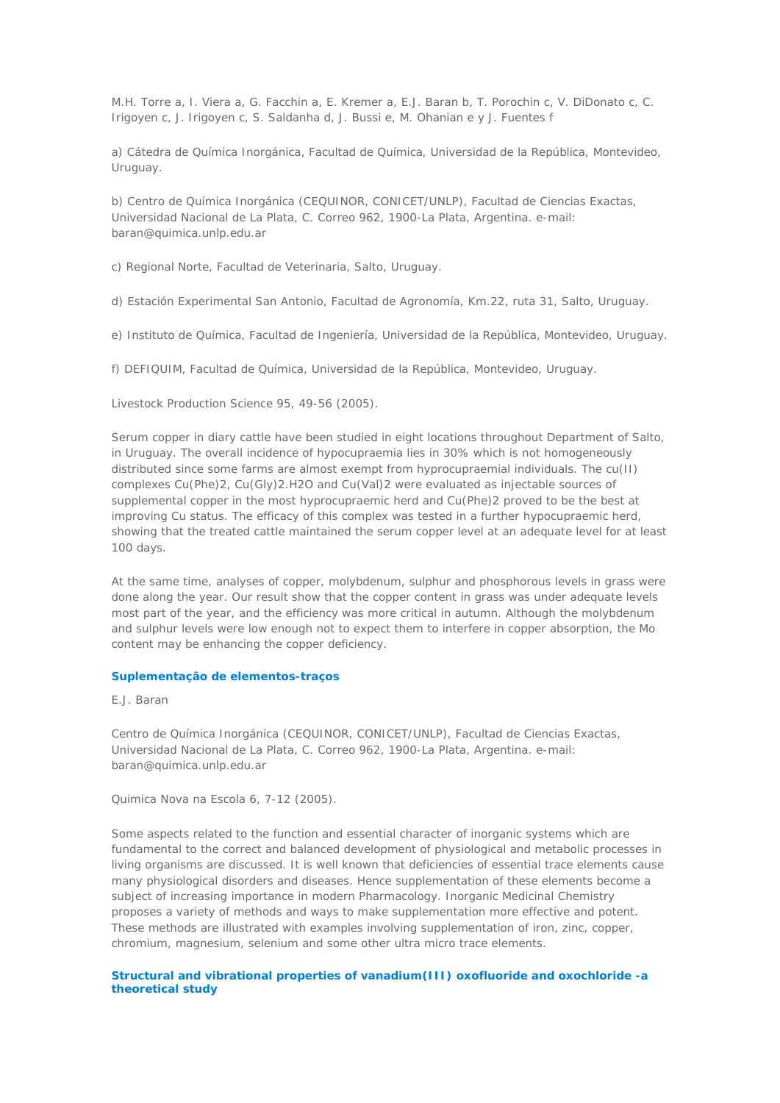*M.H. Torre a, I. Viera a, G. Facchin a, E. Kremer a, E.J. Baran b, T. Porochin c, V. DiDonato c, C. Irigoyen c, J. Irigoyen c, S. Saldanha d, J. Bussi e, M. Ohanian e y J. Fuentes f*

a) Cátedra de Química Inorgánica, Facultad de Química, Universidad de la República, Montevideo, Uruguay.

b) Centro de Química Inorgánica (CEQUINOR, CONICET/UNLP), Facultad de Ciencias Exactas, Universidad Nacional de La Plata, C. Correo 962, 1900-La Plata, Argentina. e-mail: baran@quimica.unlp.edu.ar

c) Regional Norte, Facultad de Veterinaria, Salto, Uruguay.

d) Estación Experimental San Antonio, Facultad de Agronomía, Km.22, ruta 31, Salto, Uruguay.

e) Instituto de Química, Facultad de Ingeniería, Universidad de la República, Montevideo, Uruguay.

f) DEFIQUIM, Facultad de Química, Universidad de la República, Montevideo, Uruguay.

Livestock Production Science 95, 49-56 (2005).

Serum copper in diary cattle have been studied in eight locations throughout Department of Salto, in Uruguay. The overall incidence of hypocupraemia lies in 30% which is not homogeneously distributed since some farms are almost exempt from hyprocupraemial individuals. The cu(II) complexes Cu(Phe)2, Cu(Gly)2.H2O and Cu(Val)2 were evaluated as injectable sources of supplemental copper in the most hyprocupraemic herd and Cu(Phe)2 proved to be the best at improving Cu status. The efficacy of this complex was tested in a further hypocupraemic herd, showing that the treated cattle maintained the serum copper level at an adequate level for at least 100 days.

At the same time, analyses of copper, molybdenum, sulphur and phosphorous levels in grass were done along the year. Our result show that the copper content in grass was under adequate levels most part of the year, and the efficiency was more critical in autumn. Although the molybdenum and sulphur levels were low enough not to expect them to interfere in copper absorption, the Mo content may be enhancing the copper deficiency.

### **Suplementação de elementos-traços**

*E.J. Baran*

Centro de Química Inorgánica (CEQUINOR, CONICET/UNLP), Facultad de Ciencias Exactas, Universidad Nacional de La Plata, C. Correo 962, 1900-La Plata, Argentina. e-mail: baran@quimica.unlp.edu.ar

Quimica Nova na Escola 6, 7-12 (2005).

Some aspects related to the function and essential character of inorganic systems which are fundamental to the correct and balanced development of physiological and metabolic processes in living organisms are discussed. It is well known that deficiencies of essential trace elements cause many physiological disorders and diseases. Hence supplementation of these elements become a subject of increasing importance in modern Pharmacology. Inorganic Medicinal Chemistry proposes a variety of methods and ways to make supplementation more effective and potent. These methods are illustrated with examples involving supplementation of iron, zinc, copper, chromium, magnesium, selenium and some other ultra micro trace elements.

### **Structural and vibrational properties of vanadium(III) oxofluoride and oxochloride -a theoretical study**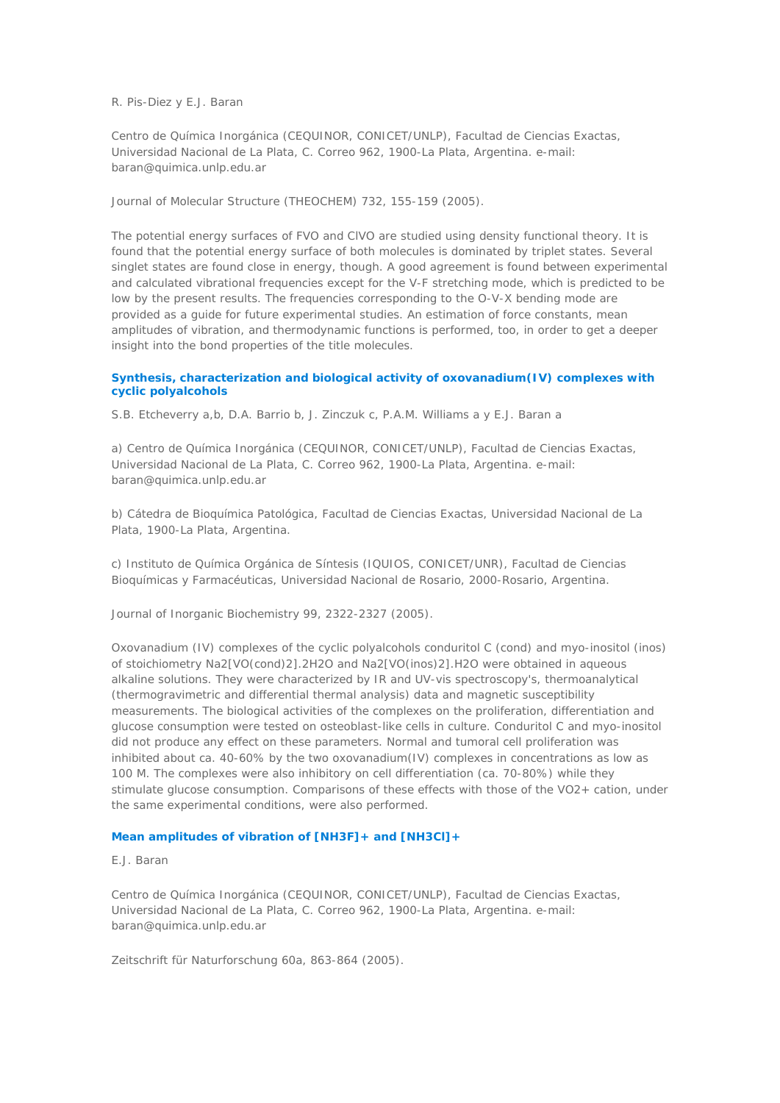### *R. Pis-Diez y E.J. Baran*

Centro de Química Inorgánica (CEQUINOR, CONICET/UNLP), Facultad de Ciencias Exactas, Universidad Nacional de La Plata, C. Correo 962, 1900-La Plata, Argentina. e-mail: baran@quimica.unlp.edu.ar

Journal of Molecular Structure (THEOCHEM) 732, 155-159 (2005).

The potential energy surfaces of FVO and ClVO are studied using density functional theory. It is found that the potential energy surface of both molecules is dominated by triplet states. Several singlet states are found close in energy, though. A good agreement is found between experimental and calculated vibrational frequencies except for the V-F stretching mode, which is predicted to be low by the present results. The frequencies corresponding to the O-V-X bending mode are provided as a guide for future experimental studies. An estimation of force constants, mean amplitudes of vibration, and thermodynamic functions is performed, too, in order to get a deeper insight into the bond properties of the title molecules.

### **Synthesis, characterization and biological activity of oxovanadium(IV) complexes with cyclic polyalcohols**

*S.B. Etcheverry a,b, D.A. Barrio b, J. Zinczuk c, P.A.M. Williams a y E.J. Baran a*

a) Centro de Química Inorgánica (CEQUINOR, CONICET/UNLP), Facultad de Ciencias Exactas, Universidad Nacional de La Plata, C. Correo 962, 1900-La Plata, Argentina. e-mail: baran@quimica.unlp.edu.ar

b) Cátedra de Bioquímica Patológica, Facultad de Ciencias Exactas, Universidad Nacional de La Plata, 1900-La Plata, Argentina.

c) Instituto de Química Orgánica de Síntesis (IQUIOS, CONICET/UNR), Facultad de Ciencias Bioquímicas y Farmacéuticas, Universidad Nacional de Rosario, 2000-Rosario, Argentina.

Journal of Inorganic Biochemistry 99, 2322-2327 (2005).

Oxovanadium (IV) complexes of the cyclic polyalcohols conduritol C (cond) and myo-inositol (inos) of stoichiometry Na2[VO(cond)2].2H2O and Na2[VO(inos)2].H2O were obtained in aqueous alkaline solutions. They were characterized by IR and UV-vis spectroscopy's, thermoanalytical (thermogravimetric and differential thermal analysis) data and magnetic susceptibility measurements. The biological activities of the complexes on the proliferation, differentiation and glucose consumption were tested on osteoblast-like cells in culture. Conduritol C and myo-inositol did not produce any effect on these parameters. Normal and tumoral cell proliferation was inhibited about ca. 40-60% by the two oxovanadium(IV) complexes in concentrations as low as 100 M. The complexes were also inhibitory on cell differentiation (ca. 70-80%) while they stimulate glucose consumption. Comparisons of these effects with those of the VO2+ cation, under the same experimental conditions, were also performed.

# **Mean amplitudes of vibration of [NH3F]+ and [NH3Cl]+**

### *E.J. Baran*

Centro de Química Inorgánica (CEQUINOR, CONICET/UNLP), Facultad de Ciencias Exactas, Universidad Nacional de La Plata, C. Correo 962, 1900-La Plata, Argentina. e-mail: baran@quimica.unlp.edu.ar

Zeitschrift für Naturforschung 60a, 863-864 (2005).